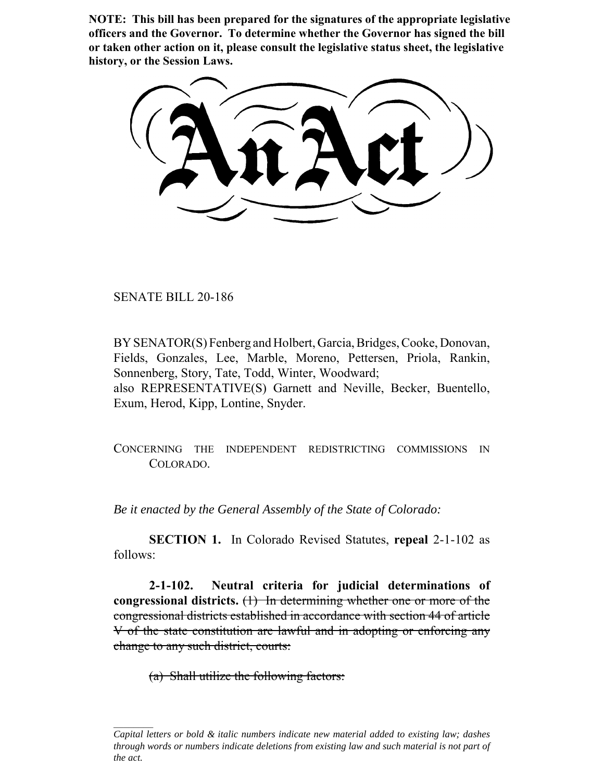**NOTE: This bill has been prepared for the signatures of the appropriate legislative officers and the Governor. To determine whether the Governor has signed the bill or taken other action on it, please consult the legislative status sheet, the legislative history, or the Session Laws.**

SENATE BILL 20-186

BY SENATOR(S) Fenberg and Holbert, Garcia, Bridges, Cooke, Donovan, Fields, Gonzales, Lee, Marble, Moreno, Pettersen, Priola, Rankin, Sonnenberg, Story, Tate, Todd, Winter, Woodward; also REPRESENTATIVE(S) Garnett and Neville, Becker, Buentello, Exum, Herod, Kipp, Lontine, Snyder.

CONCERNING THE INDEPENDENT REDISTRICTING COMMISSIONS IN COLORADO.

*Be it enacted by the General Assembly of the State of Colorado:*

**SECTION 1.** In Colorado Revised Statutes, **repeal** 2-1-102 as follows:

**2-1-102. Neutral criteria for judicial determinations of congressional districts.** (1) In determining whether one or more of the congressional districts established in accordance with section 44 of article V of the state constitution are lawful and in adopting or enforcing any change to any such district, courts:

(a) Shall utilize the following factors:

*Capital letters or bold & italic numbers indicate new material added to existing law; dashes through words or numbers indicate deletions from existing law and such material is not part of the act.*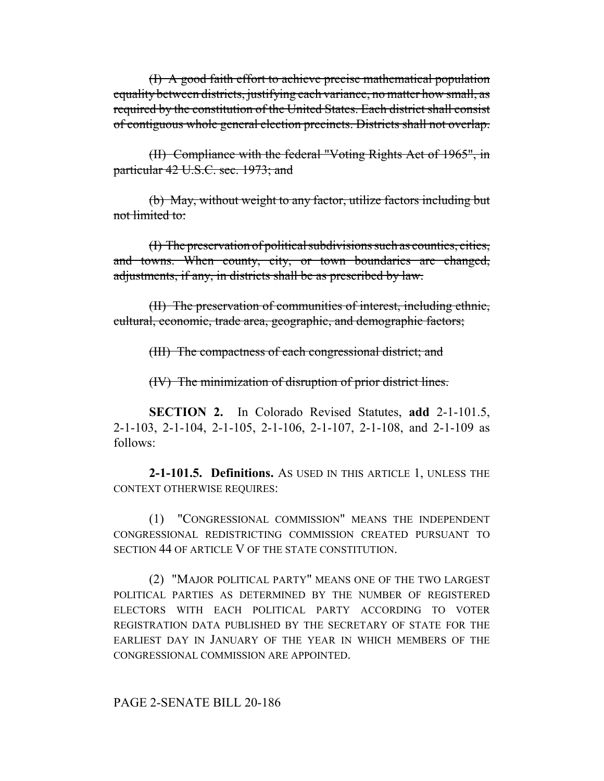(I) A good faith effort to achieve precise mathematical population equality between districts, justifying each variance, no matter how small, as required by the constitution of the United States. Each district shall consist of contiguous whole general election precincts. Districts shall not overlap.

(II) Compliance with the federal "Voting Rights Act of 1965", in particular 42 U.S.C. sec. 1973; and

(b) May, without weight to any factor, utilize factors including but not limited to:

(I) The preservation of political subdivisions such as counties, cities, and towns. When county, city, or town boundaries are changed, adjustments, if any, in districts shall be as prescribed by law.

(II) The preservation of communities of interest, including ethnic, cultural, economic, trade area, geographic, and demographic factors;

(III) The compactness of each congressional district; and

(IV) The minimization of disruption of prior district lines.

**SECTION 2.** In Colorado Revised Statutes, **add** 2-1-101.5, 2-1-103, 2-1-104, 2-1-105, 2-1-106, 2-1-107, 2-1-108, and 2-1-109 as follows:

**2-1-101.5. Definitions.** AS USED IN THIS ARTICLE 1, UNLESS THE CONTEXT OTHERWISE REQUIRES:

(1) "CONGRESSIONAL COMMISSION" MEANS THE INDEPENDENT CONGRESSIONAL REDISTRICTING COMMISSION CREATED PURSUANT TO SECTION 44 OF ARTICLE V OF THE STATE CONSTITUTION.

(2) "MAJOR POLITICAL PARTY" MEANS ONE OF THE TWO LARGEST POLITICAL PARTIES AS DETERMINED BY THE NUMBER OF REGISTERED ELECTORS WITH EACH POLITICAL PARTY ACCORDING TO VOTER REGISTRATION DATA PUBLISHED BY THE SECRETARY OF STATE FOR THE EARLIEST DAY IN JANUARY OF THE YEAR IN WHICH MEMBERS OF THE CONGRESSIONAL COMMISSION ARE APPOINTED.

PAGE 2-SENATE BILL 20-186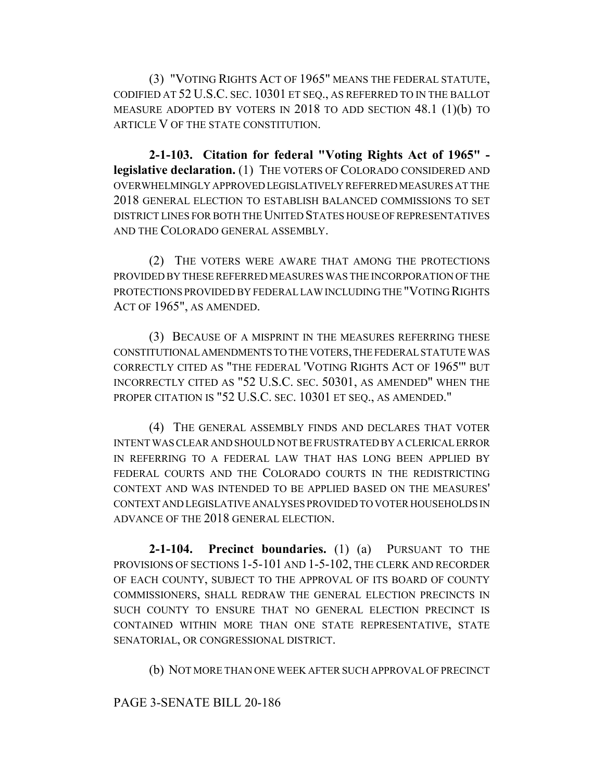(3) "VOTING RIGHTS ACT OF 1965" MEANS THE FEDERAL STATUTE, CODIFIED AT 52 U.S.C. SEC. 10301 ET SEQ., AS REFERRED TO IN THE BALLOT MEASURE ADOPTED BY VOTERS IN 2018 TO ADD SECTION 48.1 (1)(b) TO ARTICLE V OF THE STATE CONSTITUTION.

**2-1-103. Citation for federal "Voting Rights Act of 1965" legislative declaration.** (1) THE VOTERS OF COLORADO CONSIDERED AND OVERWHELMINGLY APPROVED LEGISLATIVELY REFERRED MEASURES AT THE 2018 GENERAL ELECTION TO ESTABLISH BALANCED COMMISSIONS TO SET DISTRICT LINES FOR BOTH THE UNITED STATES HOUSE OF REPRESENTATIVES AND THE COLORADO GENERAL ASSEMBLY.

(2) THE VOTERS WERE AWARE THAT AMONG THE PROTECTIONS PROVIDED BY THESE REFERRED MEASURES WAS THE INCORPORATION OF THE PROTECTIONS PROVIDED BY FEDERAL LAW INCLUDING THE "VOTING RIGHTS ACT OF 1965", AS AMENDED.

(3) BECAUSE OF A MISPRINT IN THE MEASURES REFERRING THESE CONSTITUTIONAL AMENDMENTS TO THE VOTERS, THE FEDERAL STATUTE WAS CORRECTLY CITED AS "THE FEDERAL 'VOTING RIGHTS ACT OF 1965'" BUT INCORRECTLY CITED AS "52 U.S.C. SEC. 50301, AS AMENDED" WHEN THE PROPER CITATION IS "52 U.S.C. SEC. 10301 ET SEQ., AS AMENDED."

(4) THE GENERAL ASSEMBLY FINDS AND DECLARES THAT VOTER INTENT WAS CLEAR AND SHOULD NOT BE FRUSTRATED BY A CLERICAL ERROR IN REFERRING TO A FEDERAL LAW THAT HAS LONG BEEN APPLIED BY FEDERAL COURTS AND THE COLORADO COURTS IN THE REDISTRICTING CONTEXT AND WAS INTENDED TO BE APPLIED BASED ON THE MEASURES' CONTEXT AND LEGISLATIVE ANALYSES PROVIDED TO VOTER HOUSEHOLDS IN ADVANCE OF THE 2018 GENERAL ELECTION.

**2-1-104. Precinct boundaries.** (1) (a) PURSUANT TO THE PROVISIONS OF SECTIONS 1-5-101 AND 1-5-102, THE CLERK AND RECORDER OF EACH COUNTY, SUBJECT TO THE APPROVAL OF ITS BOARD OF COUNTY COMMISSIONERS, SHALL REDRAW THE GENERAL ELECTION PRECINCTS IN SUCH COUNTY TO ENSURE THAT NO GENERAL ELECTION PRECINCT IS CONTAINED WITHIN MORE THAN ONE STATE REPRESENTATIVE, STATE SENATORIAL, OR CONGRESSIONAL DISTRICT.

(b) NOT MORE THAN ONE WEEK AFTER SUCH APPROVAL OF PRECINCT

## PAGE 3-SENATE BILL 20-186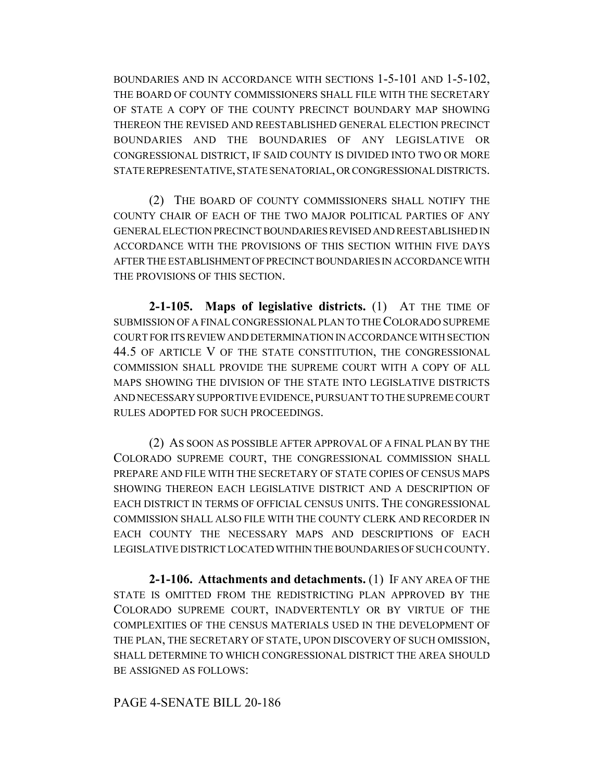BOUNDARIES AND IN ACCORDANCE WITH SECTIONS 1-5-101 AND 1-5-102, THE BOARD OF COUNTY COMMISSIONERS SHALL FILE WITH THE SECRETARY OF STATE A COPY OF THE COUNTY PRECINCT BOUNDARY MAP SHOWING THEREON THE REVISED AND REESTABLISHED GENERAL ELECTION PRECINCT BOUNDARIES AND THE BOUNDARIES OF ANY LEGISLATIVE OR CONGRESSIONAL DISTRICT, IF SAID COUNTY IS DIVIDED INTO TWO OR MORE STATE REPRESENTATIVE, STATE SENATORIAL, OR CONGRESSIONAL DISTRICTS.

(2) THE BOARD OF COUNTY COMMISSIONERS SHALL NOTIFY THE COUNTY CHAIR OF EACH OF THE TWO MAJOR POLITICAL PARTIES OF ANY GENERAL ELECTION PRECINCT BOUNDARIES REVISED AND REESTABLISHED IN ACCORDANCE WITH THE PROVISIONS OF THIS SECTION WITHIN FIVE DAYS AFTER THE ESTABLISHMENT OF PRECINCT BOUNDARIES IN ACCORDANCE WITH THE PROVISIONS OF THIS SECTION.

**2-1-105. Maps of legislative districts.** (1) AT THE TIME OF SUBMISSION OF A FINAL CONGRESSIONAL PLAN TO THE COLORADO SUPREME COURT FOR ITS REVIEW AND DETERMINATION IN ACCORDANCE WITH SECTION 44.5 OF ARTICLE V OF THE STATE CONSTITUTION, THE CONGRESSIONAL COMMISSION SHALL PROVIDE THE SUPREME COURT WITH A COPY OF ALL MAPS SHOWING THE DIVISION OF THE STATE INTO LEGISLATIVE DISTRICTS AND NECESSARY SUPPORTIVE EVIDENCE, PURSUANT TO THE SUPREME COURT RULES ADOPTED FOR SUCH PROCEEDINGS.

(2) AS SOON AS POSSIBLE AFTER APPROVAL OF A FINAL PLAN BY THE COLORADO SUPREME COURT, THE CONGRESSIONAL COMMISSION SHALL PREPARE AND FILE WITH THE SECRETARY OF STATE COPIES OF CENSUS MAPS SHOWING THEREON EACH LEGISLATIVE DISTRICT AND A DESCRIPTION OF EACH DISTRICT IN TERMS OF OFFICIAL CENSUS UNITS. THE CONGRESSIONAL COMMISSION SHALL ALSO FILE WITH THE COUNTY CLERK AND RECORDER IN EACH COUNTY THE NECESSARY MAPS AND DESCRIPTIONS OF EACH LEGISLATIVE DISTRICT LOCATED WITHIN THE BOUNDARIES OF SUCH COUNTY.

**2-1-106. Attachments and detachments.** (1) IF ANY AREA OF THE STATE IS OMITTED FROM THE REDISTRICTING PLAN APPROVED BY THE COLORADO SUPREME COURT, INADVERTENTLY OR BY VIRTUE OF THE COMPLEXITIES OF THE CENSUS MATERIALS USED IN THE DEVELOPMENT OF THE PLAN, THE SECRETARY OF STATE, UPON DISCOVERY OF SUCH OMISSION, SHALL DETERMINE TO WHICH CONGRESSIONAL DISTRICT THE AREA SHOULD BE ASSIGNED AS FOLLOWS:

# PAGE 4-SENATE BILL 20-186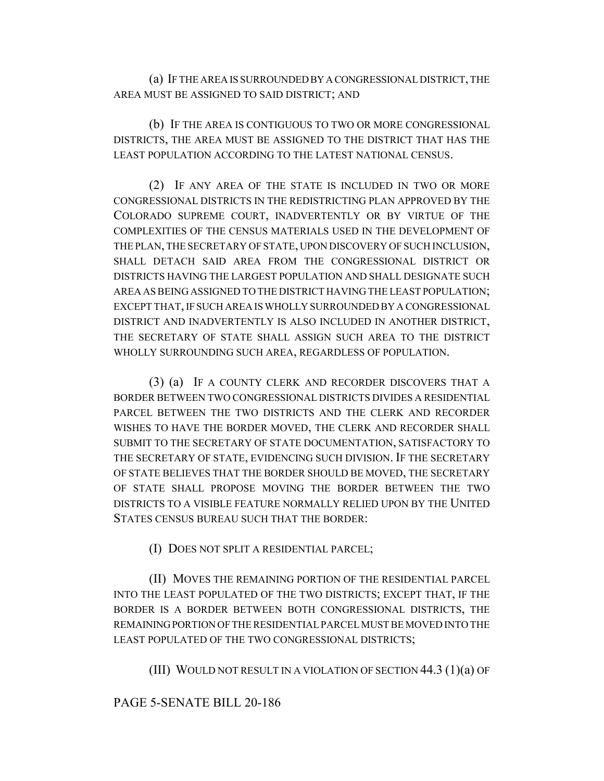(a) IF THE AREA IS SURROUNDED BY A CONGRESSIONAL DISTRICT, THE AREA MUST BE ASSIGNED TO SAID DISTRICT; AND

(b) IF THE AREA IS CONTIGUOUS TO TWO OR MORE CONGRESSIONAL DISTRICTS, THE AREA MUST BE ASSIGNED TO THE DISTRICT THAT HAS THE LEAST POPULATION ACCORDING TO THE LATEST NATIONAL CENSUS.

(2) IF ANY AREA OF THE STATE IS INCLUDED IN TWO OR MORE CONGRESSIONAL DISTRICTS IN THE REDISTRICTING PLAN APPROVED BY THE COLORADO SUPREME COURT, INADVERTENTLY OR BY VIRTUE OF THE COMPLEXITIES OF THE CENSUS MATERIALS USED IN THE DEVELOPMENT OF THE PLAN, THE SECRETARY OF STATE, UPON DISCOVERY OF SUCH INCLUSION, SHALL DETACH SAID AREA FROM THE CONGRESSIONAL DISTRICT OR DISTRICTS HAVING THE LARGEST POPULATION AND SHALL DESIGNATE SUCH AREA AS BEING ASSIGNED TO THE DISTRICT HAVING THE LEAST POPULATION; EXCEPT THAT, IF SUCH AREA IS WHOLLY SURROUNDED BY A CONGRESSIONAL DISTRICT AND INADVERTENTLY IS ALSO INCLUDED IN ANOTHER DISTRICT, THE SECRETARY OF STATE SHALL ASSIGN SUCH AREA TO THE DISTRICT WHOLLY SURROUNDING SUCH AREA, REGARDLESS OF POPULATION.

(3) (a) IF A COUNTY CLERK AND RECORDER DISCOVERS THAT A BORDER BETWEEN TWO CONGRESSIONAL DISTRICTS DIVIDES A RESIDENTIAL PARCEL BETWEEN THE TWO DISTRICTS AND THE CLERK AND RECORDER WISHES TO HAVE THE BORDER MOVED, THE CLERK AND RECORDER SHALL SUBMIT TO THE SECRETARY OF STATE DOCUMENTATION, SATISFACTORY TO THE SECRETARY OF STATE, EVIDENCING SUCH DIVISION. IF THE SECRETARY OF STATE BELIEVES THAT THE BORDER SHOULD BE MOVED, THE SECRETARY OF STATE SHALL PROPOSE MOVING THE BORDER BETWEEN THE TWO DISTRICTS TO A VISIBLE FEATURE NORMALLY RELIED UPON BY THE UNITED STATES CENSUS BUREAU SUCH THAT THE BORDER:

(I) DOES NOT SPLIT A RESIDENTIAL PARCEL;

(II) MOVES THE REMAINING PORTION OF THE RESIDENTIAL PARCEL INTO THE LEAST POPULATED OF THE TWO DISTRICTS; EXCEPT THAT, IF THE BORDER IS A BORDER BETWEEN BOTH CONGRESSIONAL DISTRICTS, THE REMAINING PORTION OF THE RESIDENTIAL PARCEL MUST BE MOVED INTO THE LEAST POPULATED OF THE TWO CONGRESSIONAL DISTRICTS;

(III) WOULD NOT RESULT IN A VIOLATION OF SECTION  $44.3$  (1)(a) OF

## PAGE 5-SENATE BILL 20-186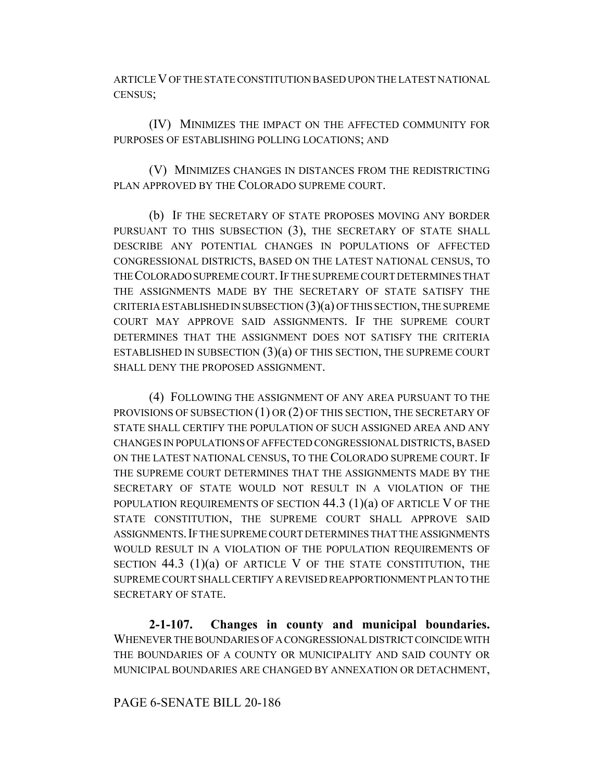ARTICLE V OF THE STATE CONSTITUTION BASED UPON THE LATEST NATIONAL CENSUS;

(IV) MINIMIZES THE IMPACT ON THE AFFECTED COMMUNITY FOR PURPOSES OF ESTABLISHING POLLING LOCATIONS; AND

(V) MINIMIZES CHANGES IN DISTANCES FROM THE REDISTRICTING PLAN APPROVED BY THE COLORADO SUPREME COURT.

(b) IF THE SECRETARY OF STATE PROPOSES MOVING ANY BORDER PURSUANT TO THIS SUBSECTION (3), THE SECRETARY OF STATE SHALL DESCRIBE ANY POTENTIAL CHANGES IN POPULATIONS OF AFFECTED CONGRESSIONAL DISTRICTS, BASED ON THE LATEST NATIONAL CENSUS, TO THE COLORADO SUPREME COURT. IF THE SUPREME COURT DETERMINES THAT THE ASSIGNMENTS MADE BY THE SECRETARY OF STATE SATISFY THE CRITERIA ESTABLISHED IN SUBSECTION  $(3)(a)$  OF THIS SECTION, THE SUPREME COURT MAY APPROVE SAID ASSIGNMENTS. IF THE SUPREME COURT DETERMINES THAT THE ASSIGNMENT DOES NOT SATISFY THE CRITERIA ESTABLISHED IN SUBSECTION  $(3)(a)$  OF THIS SECTION, THE SUPREME COURT SHALL DENY THE PROPOSED ASSIGNMENT.

(4) FOLLOWING THE ASSIGNMENT OF ANY AREA PURSUANT TO THE PROVISIONS OF SUBSECTION (1) OR (2) OF THIS SECTION, THE SECRETARY OF STATE SHALL CERTIFY THE POPULATION OF SUCH ASSIGNED AREA AND ANY CHANGES IN POPULATIONS OF AFFECTED CONGRESSIONAL DISTRICTS, BASED ON THE LATEST NATIONAL CENSUS, TO THE COLORADO SUPREME COURT. IF THE SUPREME COURT DETERMINES THAT THE ASSIGNMENTS MADE BY THE SECRETARY OF STATE WOULD NOT RESULT IN A VIOLATION OF THE POPULATION REQUIREMENTS OF SECTION  $44.3$  (1)(a) OF ARTICLE V OF THE STATE CONSTITUTION, THE SUPREME COURT SHALL APPROVE SAID ASSIGNMENTS.IF THE SUPREME COURT DETERMINES THAT THE ASSIGNMENTS WOULD RESULT IN A VIOLATION OF THE POPULATION REQUIREMENTS OF SECTION  $44.3$  (1)(a) OF ARTICLE V OF THE STATE CONSTITUTION, THE SUPREME COURT SHALL CERTIFY A REVISED REAPPORTIONMENT PLAN TO THE SECRETARY OF STATE.

**2-1-107. Changes in county and municipal boundaries.** WHENEVER THE BOUNDARIES OF A CONGRESSIONAL DISTRICT COINCIDE WITH THE BOUNDARIES OF A COUNTY OR MUNICIPALITY AND SAID COUNTY OR MUNICIPAL BOUNDARIES ARE CHANGED BY ANNEXATION OR DETACHMENT,

## PAGE 6-SENATE BILL 20-186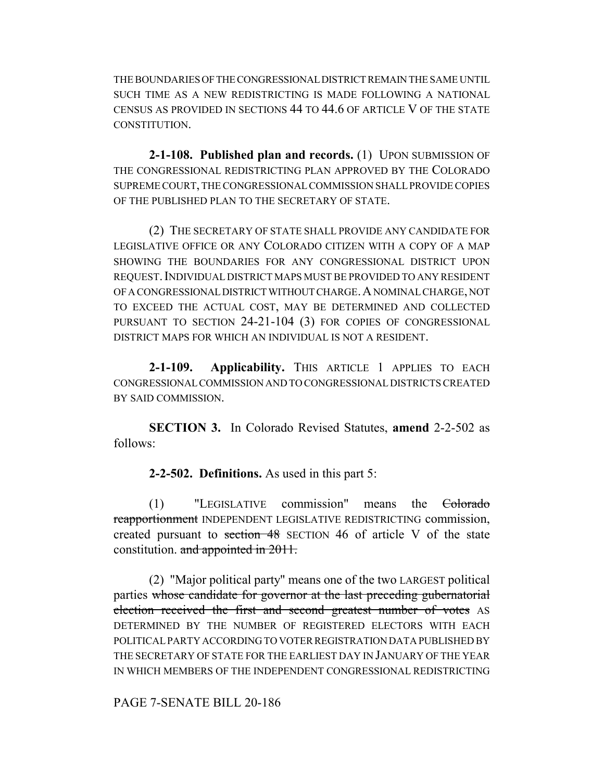THE BOUNDARIES OF THE CONGRESSIONAL DISTRICT REMAIN THE SAME UNTIL SUCH TIME AS A NEW REDISTRICTING IS MADE FOLLOWING A NATIONAL CENSUS AS PROVIDED IN SECTIONS 44 TO 44.6 OF ARTICLE V OF THE STATE CONSTITUTION.

**2-1-108. Published plan and records.** (1) UPON SUBMISSION OF THE CONGRESSIONAL REDISTRICTING PLAN APPROVED BY THE COLORADO SUPREME COURT, THE CONGRESSIONAL COMMISSION SHALL PROVIDE COPIES OF THE PUBLISHED PLAN TO THE SECRETARY OF STATE.

(2) THE SECRETARY OF STATE SHALL PROVIDE ANY CANDIDATE FOR LEGISLATIVE OFFICE OR ANY COLORADO CITIZEN WITH A COPY OF A MAP SHOWING THE BOUNDARIES FOR ANY CONGRESSIONAL DISTRICT UPON REQUEST.INDIVIDUAL DISTRICT MAPS MUST BE PROVIDED TO ANY RESIDENT OF A CONGRESSIONAL DISTRICT WITHOUT CHARGE.A NOMINAL CHARGE, NOT TO EXCEED THE ACTUAL COST, MAY BE DETERMINED AND COLLECTED PURSUANT TO SECTION 24-21-104 (3) FOR COPIES OF CONGRESSIONAL DISTRICT MAPS FOR WHICH AN INDIVIDUAL IS NOT A RESIDENT.

**2-1-109. Applicability.** THIS ARTICLE 1 APPLIES TO EACH CONGRESSIONAL COMMISSION AND TO CONGRESSIONAL DISTRICTS CREATED BY SAID COMMISSION.

**SECTION 3.** In Colorado Revised Statutes, **amend** 2-2-502 as follows:

**2-2-502. Definitions.** As used in this part 5:

(1) "LEGISLATIVE commission" means the Colorado reapportionment INDEPENDENT LEGISLATIVE REDISTRICTING commission, created pursuant to section 48 SECTION 46 of article V of the state constitution. and appointed in 2011.

(2) "Major political party" means one of the two LARGEST political parties whose candidate for governor at the last preceding gubernatorial election received the first and second greatest number of votes AS DETERMINED BY THE NUMBER OF REGISTERED ELECTORS WITH EACH POLITICAL PARTY ACCORDING TO VOTER REGISTRATION DATA PUBLISHED BY THE SECRETARY OF STATE FOR THE EARLIEST DAY IN JANUARY OF THE YEAR IN WHICH MEMBERS OF THE INDEPENDENT CONGRESSIONAL REDISTRICTING

PAGE 7-SENATE BILL 20-186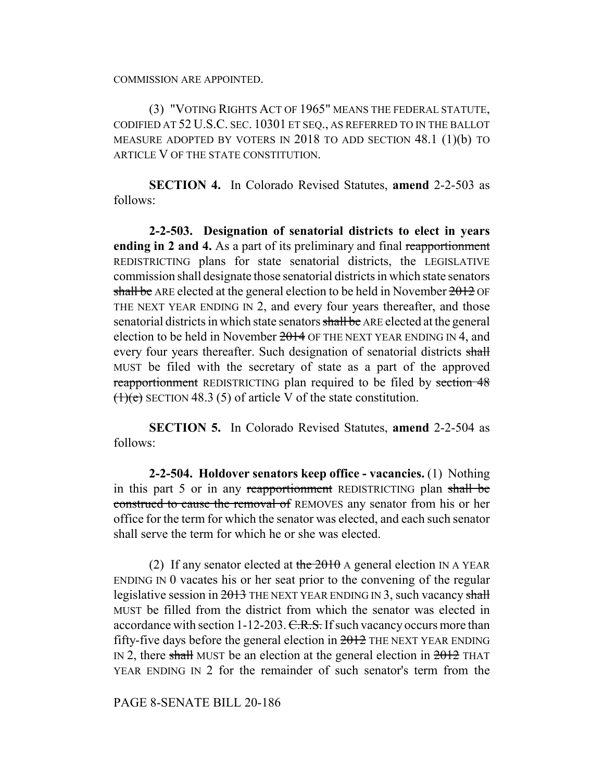COMMISSION ARE APPOINTED.

(3) "VOTING RIGHTS ACT OF 1965" MEANS THE FEDERAL STATUTE, CODIFIED AT 52 U.S.C. SEC. 10301 ET SEQ., AS REFERRED TO IN THE BALLOT MEASURE ADOPTED BY VOTERS IN 2018 TO ADD SECTION 48.1 (1)(b) TO ARTICLE V OF THE STATE CONSTITUTION.

**SECTION 4.** In Colorado Revised Statutes, **amend** 2-2-503 as follows:

**2-2-503. Designation of senatorial districts to elect in years ending in 2 and 4.** As a part of its preliminary and final reapportionment REDISTRICTING plans for state senatorial districts, the LEGISLATIVE commission shall designate those senatorial districts in which state senators shall be ARE elected at the general election to be held in November  $2012$  OF THE NEXT YEAR ENDING IN 2, and every four years thereafter, and those senatorial districts in which state senators shall be ARE elected at the general election to be held in November  $2014$  OF THE NEXT YEAR ENDING IN 4, and every four years thereafter. Such designation of senatorial districts shall MUST be filed with the secretary of state as a part of the approved reapportionment REDISTRICTING plan required to be filed by section 48  $(1)(e)$  SECTION 48.3 (5) of article V of the state constitution.

**SECTION 5.** In Colorado Revised Statutes, **amend** 2-2-504 as follows:

**2-2-504. Holdover senators keep office - vacancies.** (1) Nothing in this part 5 or in any reapportionment REDISTRICTING plan shall be construed to cause the removal of REMOVES any senator from his or her office for the term for which the senator was elected, and each such senator shall serve the term for which he or she was elected.

(2) If any senator elected at the  $2010$  A general election IN A YEAR ENDING IN 0 vacates his or her seat prior to the convening of the regular legislative session in  $2013$  THE NEXT YEAR ENDING IN 3, such vacancy shall MUST be filled from the district from which the senator was elected in accordance with section 1-12-203. C.R.S. If such vacancy occurs more than fifty-five days before the general election in  $2012$  THE NEXT YEAR ENDING IN 2, there shall MUST be an election at the general election in  $2012$  THAT YEAR ENDING IN 2 for the remainder of such senator's term from the

PAGE 8-SENATE BILL 20-186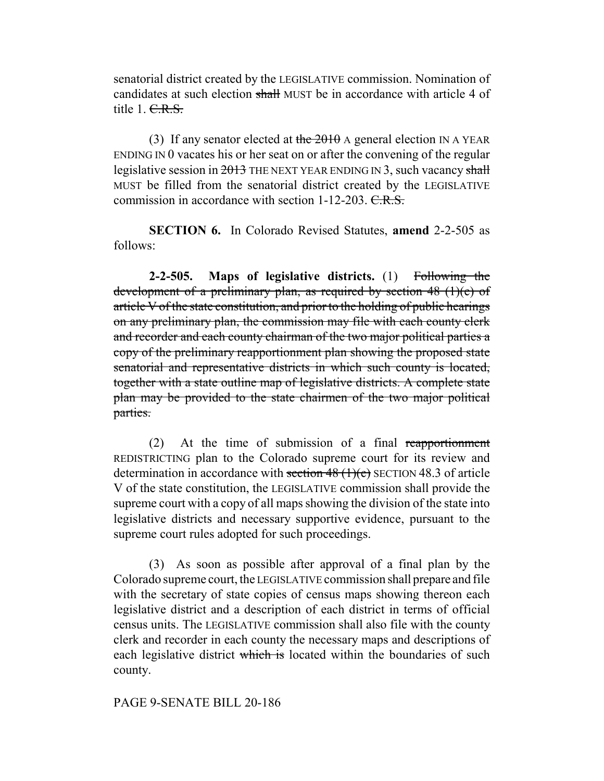senatorial district created by the LEGISLATIVE commission. Nomination of candidates at such election shall MUST be in accordance with article 4 of title 1. C.R.S.

(3) If any senator elected at the  $2010$  A general election IN A YEAR ENDING IN 0 vacates his or her seat on or after the convening of the regular legislative session in  $2013$  THE NEXT YEAR ENDING IN 3, such vacancy shall MUST be filled from the senatorial district created by the LEGISLATIVE commission in accordance with section  $1-12-203$ . C.R.S.

**SECTION 6.** In Colorado Revised Statutes, **amend** 2-2-505 as follows:

**2-2-505. Maps of legislative districts.** (1) Following the development of a preliminary plan, as required by section 48 (1)(e) of article V of the state constitution, and prior to the holding of public hearings on any preliminary plan, the commission may file with each county clerk and recorder and each county chairman of the two major political parties a copy of the preliminary reapportionment plan showing the proposed state senatorial and representative districts in which such county is located, together with a state outline map of legislative districts. A complete state plan may be provided to the state chairmen of the two major political parties.

(2) At the time of submission of a final reapportionment REDISTRICTING plan to the Colorado supreme court for its review and determination in accordance with section  $48$  (1)(e) SECTION 48.3 of article V of the state constitution, the LEGISLATIVE commission shall provide the supreme court with a copy of all maps showing the division of the state into legislative districts and necessary supportive evidence, pursuant to the supreme court rules adopted for such proceedings.

(3) As soon as possible after approval of a final plan by the Colorado supreme court, the LEGISLATIVE commission shall prepare and file with the secretary of state copies of census maps showing thereon each legislative district and a description of each district in terms of official census units. The LEGISLATIVE commission shall also file with the county clerk and recorder in each county the necessary maps and descriptions of each legislative district which is located within the boundaries of such county.

## PAGE 9-SENATE BILL 20-186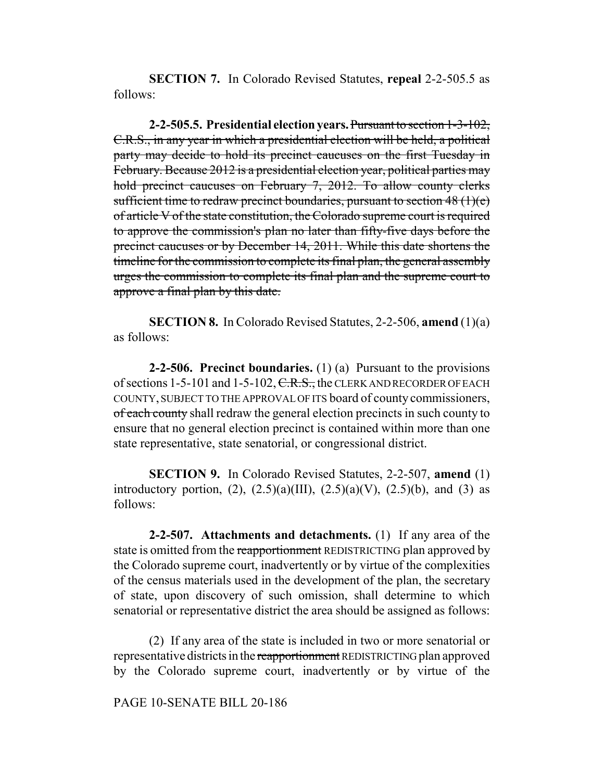**SECTION 7.** In Colorado Revised Statutes, **repeal** 2-2-505.5 as follows:

**2-2-505.5. Presidential election years.** Pursuant to section 1-3-102, C.R.S., in any year in which a presidential election will be held, a political party may decide to hold its precinct caucuses on the first Tuesday in February. Because 2012 is a presidential election year, political parties may hold precinct caucuses on February 7, 2012. To allow county clerks sufficient time to redraw precinct boundaries, pursuant to section  $48 \text{ (1)(e)}$ of article V of the state constitution, the Colorado supreme court is required to approve the commission's plan no later than fifty-five days before the precinct caucuses or by December 14, 2011. While this date shortens the timeline for the commission to complete its final plan, the general assembly urges the commission to complete its final plan and the supreme court to approve a final plan by this date.

**SECTION 8.** In Colorado Revised Statutes, 2-2-506, **amend** (1)(a) as follows:

**2-2-506. Precinct boundaries.** (1) (a) Pursuant to the provisions of sections 1-5-101 and 1-5-102, C.R.S., the CLERK AND RECORDER OF EACH COUNTY, SUBJECT TO THE APPROVAL OF ITS board of county commissioners, of each county shall redraw the general election precincts in such county to ensure that no general election precinct is contained within more than one state representative, state senatorial, or congressional district.

**SECTION 9.** In Colorado Revised Statutes, 2-2-507, **amend** (1) introductory portion,  $(2)$ ,  $(2.5)(a)(III)$ ,  $(2.5)(a)(V)$ ,  $(2.5)(b)$ , and  $(3)$  as follows:

**2-2-507. Attachments and detachments.** (1) If any area of the state is omitted from the reapportionment REDISTRICTING plan approved by the Colorado supreme court, inadvertently or by virtue of the complexities of the census materials used in the development of the plan, the secretary of state, upon discovery of such omission, shall determine to which senatorial or representative district the area should be assigned as follows:

(2) If any area of the state is included in two or more senatorial or representative districts in the reapportionment REDISTRICTING plan approved by the Colorado supreme court, inadvertently or by virtue of the

PAGE 10-SENATE BILL 20-186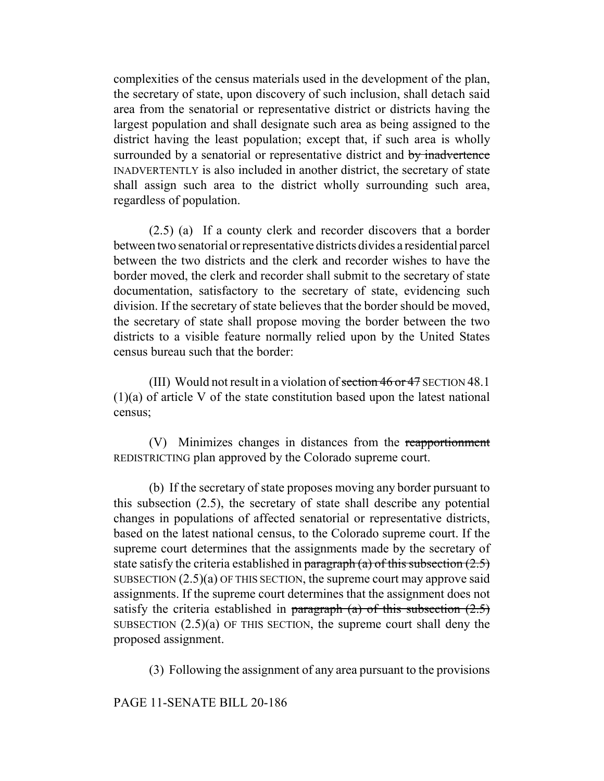complexities of the census materials used in the development of the plan, the secretary of state, upon discovery of such inclusion, shall detach said area from the senatorial or representative district or districts having the largest population and shall designate such area as being assigned to the district having the least population; except that, if such area is wholly surrounded by a senatorial or representative district and by inadvertence INADVERTENTLY is also included in another district, the secretary of state shall assign such area to the district wholly surrounding such area, regardless of population.

(2.5) (a) If a county clerk and recorder discovers that a border between two senatorial or representative districts divides a residential parcel between the two districts and the clerk and recorder wishes to have the border moved, the clerk and recorder shall submit to the secretary of state documentation, satisfactory to the secretary of state, evidencing such division. If the secretary of state believes that the border should be moved, the secretary of state shall propose moving the border between the two districts to a visible feature normally relied upon by the United States census bureau such that the border:

(III) Would not result in a violation of section  $46$  or  $47$  SECTION  $48.1$ (1)(a) of article V of the state constitution based upon the latest national census;

(V) Minimizes changes in distances from the reapportionment REDISTRICTING plan approved by the Colorado supreme court.

(b) If the secretary of state proposes moving any border pursuant to this subsection (2.5), the secretary of state shall describe any potential changes in populations of affected senatorial or representative districts, based on the latest national census, to the Colorado supreme court. If the supreme court determines that the assignments made by the secretary of state satisfy the criteria established in paragraph (a) of this subsection  $(2.5)$ SUBSECTION  $(2.5)(a)$  OF THIS SECTION, the supreme court may approve said assignments. If the supreme court determines that the assignment does not satisfy the criteria established in paragraph (a) of this subsection  $(2.5)$ SUBSECTION  $(2.5)(a)$  OF THIS SECTION, the supreme court shall deny the proposed assignment.

(3) Following the assignment of any area pursuant to the provisions

PAGE 11-SENATE BILL 20-186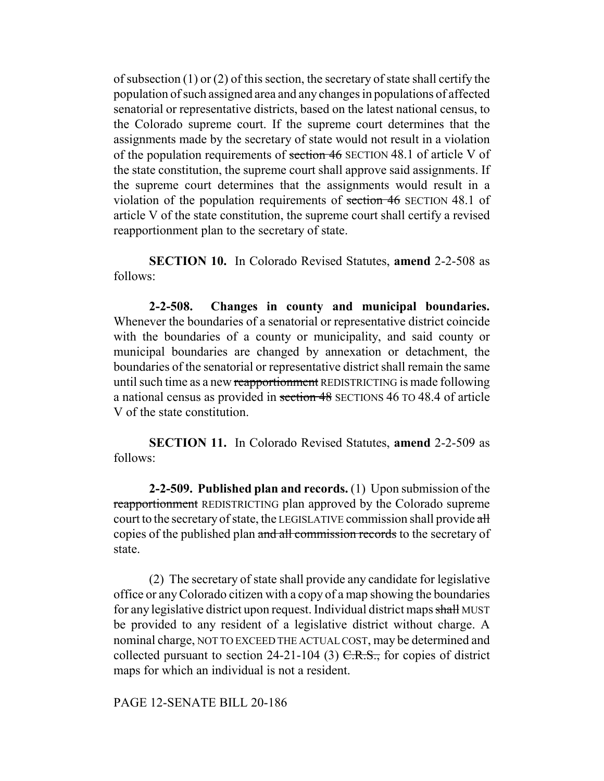of subsection (1) or (2) of this section, the secretary of state shall certify the population of such assigned area and any changes in populations of affected senatorial or representative districts, based on the latest national census, to the Colorado supreme court. If the supreme court determines that the assignments made by the secretary of state would not result in a violation of the population requirements of section 46 SECTION 48.1 of article V of the state constitution, the supreme court shall approve said assignments. If the supreme court determines that the assignments would result in a violation of the population requirements of section 46 SECTION 48.1 of article V of the state constitution, the supreme court shall certify a revised reapportionment plan to the secretary of state.

**SECTION 10.** In Colorado Revised Statutes, **amend** 2-2-508 as follows:

**2-2-508. Changes in county and municipal boundaries.** Whenever the boundaries of a senatorial or representative district coincide with the boundaries of a county or municipality, and said county or municipal boundaries are changed by annexation or detachment, the boundaries of the senatorial or representative district shall remain the same until such time as a new reapportionment REDISTRICTING is made following a national census as provided in section 48 SECTIONS 46 TO 48.4 of article V of the state constitution.

**SECTION 11.** In Colorado Revised Statutes, **amend** 2-2-509 as follows:

**2-2-509. Published plan and records.** (1) Upon submission of the reapportionment REDISTRICTING plan approved by the Colorado supreme court to the secretary of state, the LEGISLATIVE commission shall provide all copies of the published plan and all commission records to the secretary of state.

(2) The secretary of state shall provide any candidate for legislative office or any Colorado citizen with a copy of a map showing the boundaries for any legislative district upon request. Individual district maps shall MUST be provided to any resident of a legislative district without charge. A nominal charge, NOT TO EXCEED THE ACTUAL COST, may be determined and collected pursuant to section 24-21-104 (3)  $C.R.S.,$  for copies of district maps for which an individual is not a resident.

PAGE 12-SENATE BILL 20-186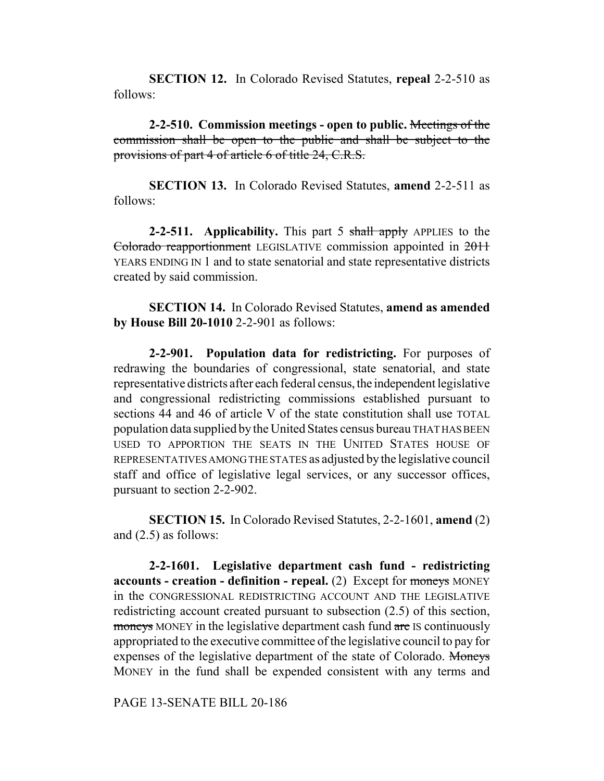**SECTION 12.** In Colorado Revised Statutes, **repeal** 2-2-510 as follows:

**2-2-510. Commission meetings - open to public.** Meetings of the commission shall be open to the public and shall be subject to the provisions of part 4 of article 6 of title 24, C.R.S.

**SECTION 13.** In Colorado Revised Statutes, **amend** 2-2-511 as follows:

**2-2-511.** Applicability. This part 5 shall apply APPLIES to the Colorado reapportionment LEGISLATIVE commission appointed in 2011 YEARS ENDING IN 1 and to state senatorial and state representative districts created by said commission.

**SECTION 14.** In Colorado Revised Statutes, **amend as amended by House Bill 20-1010** 2-2-901 as follows:

**2-2-901. Population data for redistricting.** For purposes of redrawing the boundaries of congressional, state senatorial, and state representative districts after each federal census, the independent legislative and congressional redistricting commissions established pursuant to sections 44 and 46 of article V of the state constitution shall use TOTAL population data supplied by the United States census bureau THAT HAS BEEN USED TO APPORTION THE SEATS IN THE UNITED STATES HOUSE OF REPRESENTATIVES AMONG THE STATES as adjusted by the legislative council staff and office of legislative legal services, or any successor offices, pursuant to section 2-2-902.

**SECTION 15.** In Colorado Revised Statutes, 2-2-1601, **amend** (2) and (2.5) as follows:

**2-2-1601. Legislative department cash fund - redistricting accounts - creation - definition - repeal.** (2) Except for moneys MONEY in the CONGRESSIONAL REDISTRICTING ACCOUNT AND THE LEGISLATIVE redistricting account created pursuant to subsection (2.5) of this section, moneys MONEY in the legislative department cash fund are IS continuously appropriated to the executive committee of the legislative council to pay for expenses of the legislative department of the state of Colorado. Moneys MONEY in the fund shall be expended consistent with any terms and

PAGE 13-SENATE BILL 20-186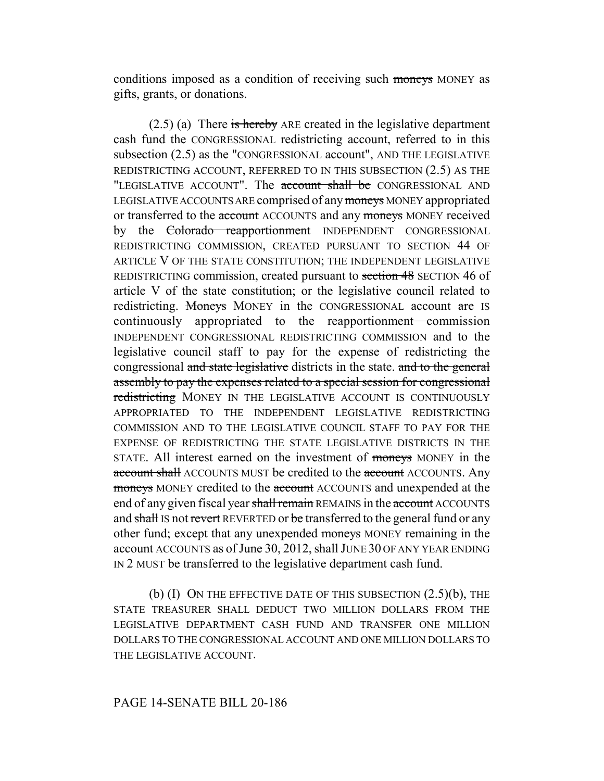conditions imposed as a condition of receiving such moneys MONEY as gifts, grants, or donations.

(2.5) (a) There is hereby ARE created in the legislative department cash fund the CONGRESSIONAL redistricting account, referred to in this subsection (2.5) as the "CONGRESSIONAL account", AND THE LEGISLATIVE REDISTRICTING ACCOUNT, REFERRED TO IN THIS SUBSECTION (2.5) AS THE "LEGISLATIVE ACCOUNT". The account shall be CONGRESSIONAL AND LEGISLATIVE ACCOUNTS ARE comprised of any moneys MONEY appropriated or transferred to the account ACCOUNTS and any moneys MONEY received by the Colorado reapportionment INDEPENDENT CONGRESSIONAL REDISTRICTING COMMISSION, CREATED PURSUANT TO SECTION 44 OF ARTICLE V OF THE STATE CONSTITUTION; THE INDEPENDENT LEGISLATIVE REDISTRICTING commission, created pursuant to section 48 SECTION 46 of article V of the state constitution; or the legislative council related to redistricting. Moneys MONEY in the CONGRESSIONAL account are IS continuously appropriated to the reapportionment commission INDEPENDENT CONGRESSIONAL REDISTRICTING COMMISSION and to the legislative council staff to pay for the expense of redistricting the congressional and state legislative districts in the state. and to the general assembly to pay the expenses related to a special session for congressional redistricting MONEY IN THE LEGISLATIVE ACCOUNT IS CONTINUOUSLY APPROPRIATED TO THE INDEPENDENT LEGISLATIVE REDISTRICTING COMMISSION AND TO THE LEGISLATIVE COUNCIL STAFF TO PAY FOR THE EXPENSE OF REDISTRICTING THE STATE LEGISLATIVE DISTRICTS IN THE STATE. All interest earned on the investment of moneys MONEY in the account shall ACCOUNTS MUST be credited to the account ACCOUNTS. Any moneys MONEY credited to the account ACCOUNTS and unexpended at the end of any given fiscal year shall remain REMAINS in the account ACCOUNTS and shall IS not revert REVERTED or be transferred to the general fund or any other fund; except that any unexpended moneys MONEY remaining in the account ACCOUNTS as of June 30, 2012, shall JUNE 30 OF ANY YEAR ENDING IN 2 MUST be transferred to the legislative department cash fund.

(b) (I) ON THE EFFECTIVE DATE OF THIS SUBSECTION  $(2.5)(b)$ , THE STATE TREASURER SHALL DEDUCT TWO MILLION DOLLARS FROM THE LEGISLATIVE DEPARTMENT CASH FUND AND TRANSFER ONE MILLION DOLLARS TO THE CONGRESSIONAL ACCOUNT AND ONE MILLION DOLLARS TO THE LEGISLATIVE ACCOUNT.

#### PAGE 14-SENATE BILL 20-186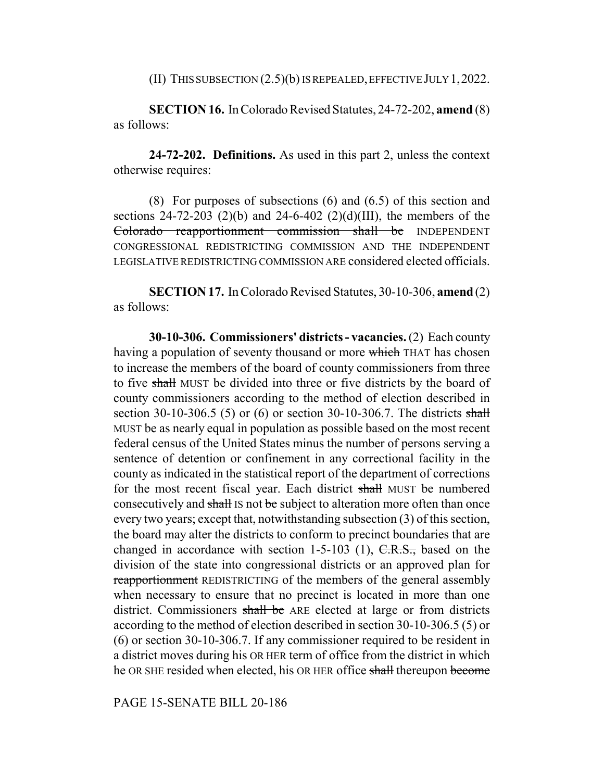(II) THIS SUBSECTION (2.5)(b) IS REPEALED, EFFECTIVE JULY 1,2022.

**SECTION 16.** In Colorado Revised Statutes, 24-72-202, **amend** (8) as follows:

**24-72-202. Definitions.** As used in this part 2, unless the context otherwise requires:

(8) For purposes of subsections (6) and (6.5) of this section and sections 24-72-203 (2)(b) and 24-6-402 (2)(d)(III), the members of the Colorado reapportionment commission shall be INDEPENDENT CONGRESSIONAL REDISTRICTING COMMISSION AND THE INDEPENDENT LEGISLATIVE REDISTRICTING COMMISSION ARE considered elected officials.

**SECTION 17.** In Colorado Revised Statutes, 30-10-306, **amend** (2) as follows:

**30-10-306. Commissioners' districts - vacancies.** (2) Each county having a population of seventy thousand or more which THAT has chosen to increase the members of the board of county commissioners from three to five shall MUST be divided into three or five districts by the board of county commissioners according to the method of election described in section 30-10-306.5 (5) or (6) or section 30-10-306.7. The districts shall MUST be as nearly equal in population as possible based on the most recent federal census of the United States minus the number of persons serving a sentence of detention or confinement in any correctional facility in the county as indicated in the statistical report of the department of corrections for the most recent fiscal year. Each district shall MUST be numbered consecutively and shall IS not be subject to alteration more often than once every two years; except that, notwithstanding subsection (3) of this section, the board may alter the districts to conform to precinct boundaries that are changed in accordance with section 1-5-103 (1),  $C.R.S.,$  based on the division of the state into congressional districts or an approved plan for reapportionment REDISTRICTING of the members of the general assembly when necessary to ensure that no precinct is located in more than one district. Commissioners shall be ARE elected at large or from districts according to the method of election described in section 30-10-306.5 (5) or (6) or section 30-10-306.7. If any commissioner required to be resident in a district moves during his OR HER term of office from the district in which he OR SHE resided when elected, his OR HER office shall thereupon become

PAGE 15-SENATE BILL 20-186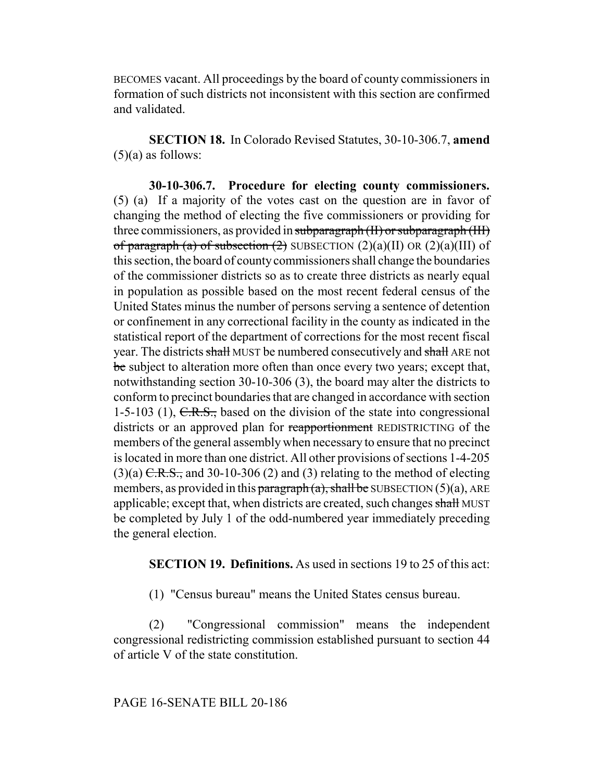BECOMES vacant. All proceedings by the board of county commissioners in formation of such districts not inconsistent with this section are confirmed and validated.

**SECTION 18.** In Colorado Revised Statutes, 30-10-306.7, **amend**  $(5)(a)$  as follows:

**30-10-306.7. Procedure for electing county commissioners.** (5) (a) If a majority of the votes cast on the question are in favor of changing the method of electing the five commissioners or providing for three commissioners, as provided in subparagraph (II) or subparagraph (III) of paragraph (a) of subsection (2) SUBSECTION  $(2)(a)(II)$  OR  $(2)(a)(III)$  of this section, the board of county commissioners shall change the boundaries of the commissioner districts so as to create three districts as nearly equal in population as possible based on the most recent federal census of the United States minus the number of persons serving a sentence of detention or confinement in any correctional facility in the county as indicated in the statistical report of the department of corrections for the most recent fiscal year. The districts shall MUST be numbered consecutively and shall ARE not be subject to alteration more often than once every two years; except that, notwithstanding section 30-10-306 (3), the board may alter the districts to conform to precinct boundaries that are changed in accordance with section 1-5-103 (1),  $C.R.S.,$  based on the division of the state into congressional districts or an approved plan for reapportionment REDISTRICTING of the members of the general assembly when necessary to ensure that no precinct is located in more than one district. All other provisions of sections 1-4-205  $(3)(a)$  C.R.S., and 30-10-306 (2) and (3) relating to the method of electing members, as provided in this paragraph  $(a)$ , shall be SUBSECTION  $(5)(a)$ , ARE applicable; except that, when districts are created, such changes shall MUST be completed by July 1 of the odd-numbered year immediately preceding the general election.

**SECTION 19. Definitions.** As used in sections 19 to 25 of this act:

(1) "Census bureau" means the United States census bureau.

(2) "Congressional commission" means the independent congressional redistricting commission established pursuant to section 44 of article V of the state constitution.

PAGE 16-SENATE BILL 20-186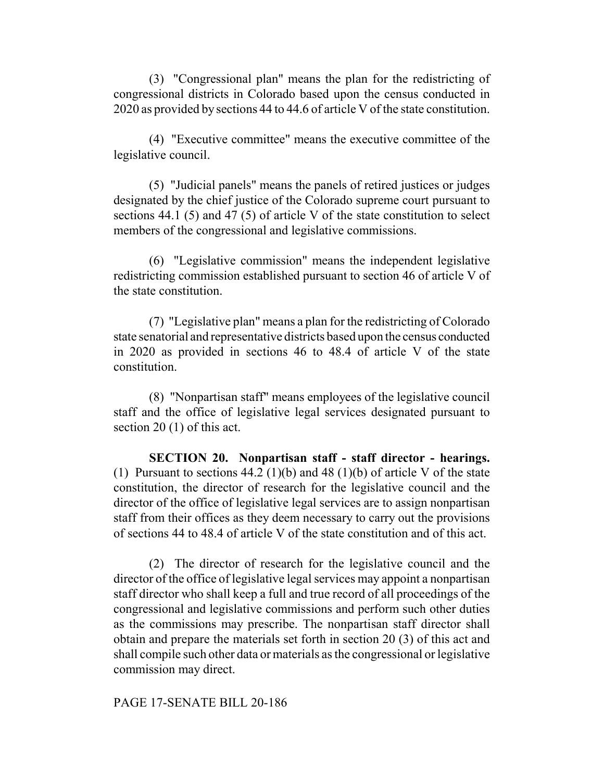(3) "Congressional plan" means the plan for the redistricting of congressional districts in Colorado based upon the census conducted in 2020 as provided by sections 44 to 44.6 of article V of the state constitution.

(4) "Executive committee" means the executive committee of the legislative council.

(5) "Judicial panels" means the panels of retired justices or judges designated by the chief justice of the Colorado supreme court pursuant to sections 44.1 (5) and 47 (5) of article V of the state constitution to select members of the congressional and legislative commissions.

(6) "Legislative commission" means the independent legislative redistricting commission established pursuant to section 46 of article V of the state constitution.

(7) "Legislative plan" means a plan for the redistricting of Colorado state senatorial and representative districts based upon the census conducted in 2020 as provided in sections 46 to 48.4 of article V of the state constitution.

(8) "Nonpartisan staff" means employees of the legislative council staff and the office of legislative legal services designated pursuant to section 20 (1) of this act.

**SECTION 20. Nonpartisan staff - staff director - hearings.** (1) Pursuant to sections  $44.2 \left(1\right)(b)$  and  $48 \left(1\right)(b)$  of article V of the state constitution, the director of research for the legislative council and the director of the office of legislative legal services are to assign nonpartisan staff from their offices as they deem necessary to carry out the provisions of sections 44 to 48.4 of article V of the state constitution and of this act.

(2) The director of research for the legislative council and the director of the office of legislative legal services may appoint a nonpartisan staff director who shall keep a full and true record of all proceedings of the congressional and legislative commissions and perform such other duties as the commissions may prescribe. The nonpartisan staff director shall obtain and prepare the materials set forth in section 20 (3) of this act and shall compile such other data or materials as the congressional or legislative commission may direct.

#### PAGE 17-SENATE BILL 20-186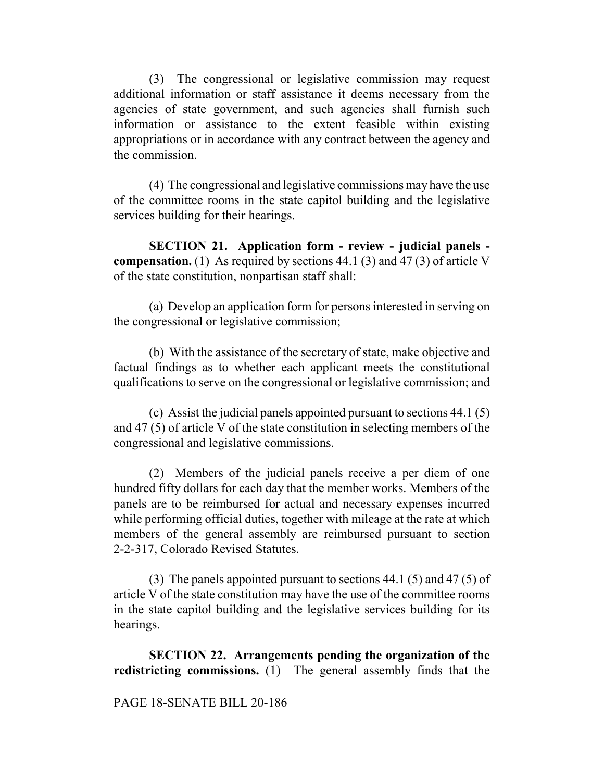(3) The congressional or legislative commission may request additional information or staff assistance it deems necessary from the agencies of state government, and such agencies shall furnish such information or assistance to the extent feasible within existing appropriations or in accordance with any contract between the agency and the commission.

(4) The congressional and legislative commissions may have the use of the committee rooms in the state capitol building and the legislative services building for their hearings.

**SECTION 21. Application form - review - judicial panels compensation.** (1) As required by sections 44.1 (3) and 47 (3) of article V of the state constitution, nonpartisan staff shall:

(a) Develop an application form for persons interested in serving on the congressional or legislative commission;

(b) With the assistance of the secretary of state, make objective and factual findings as to whether each applicant meets the constitutional qualifications to serve on the congressional or legislative commission; and

(c) Assist the judicial panels appointed pursuant to sections 44.1 (5) and 47 (5) of article V of the state constitution in selecting members of the congressional and legislative commissions.

(2) Members of the judicial panels receive a per diem of one hundred fifty dollars for each day that the member works. Members of the panels are to be reimbursed for actual and necessary expenses incurred while performing official duties, together with mileage at the rate at which members of the general assembly are reimbursed pursuant to section 2-2-317, Colorado Revised Statutes.

(3) The panels appointed pursuant to sections 44.1 (5) and 47 (5) of article V of the state constitution may have the use of the committee rooms in the state capitol building and the legislative services building for its hearings.

**SECTION 22. Arrangements pending the organization of the redistricting commissions.** (1) The general assembly finds that the

#### PAGE 18-SENATE BILL 20-186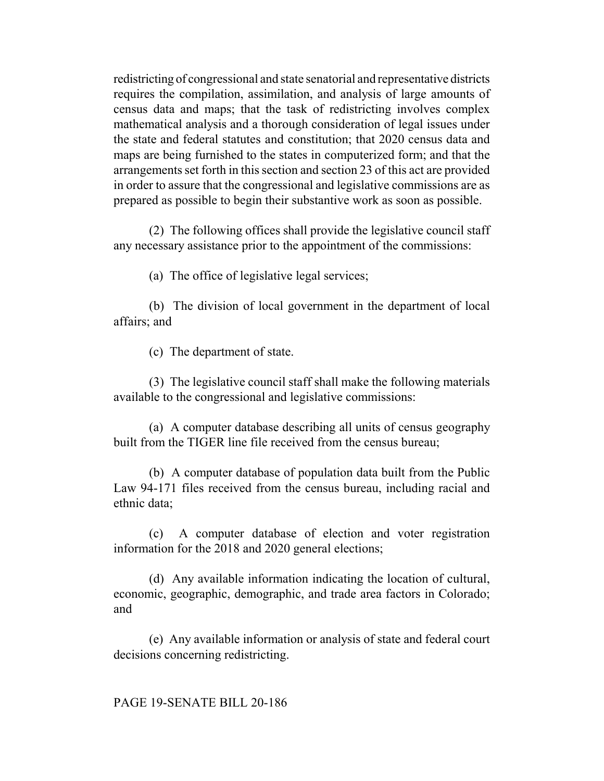redistricting of congressional and state senatorial and representative districts requires the compilation, assimilation, and analysis of large amounts of census data and maps; that the task of redistricting involves complex mathematical analysis and a thorough consideration of legal issues under the state and federal statutes and constitution; that 2020 census data and maps are being furnished to the states in computerized form; and that the arrangements set forth in this section and section 23 of this act are provided in order to assure that the congressional and legislative commissions are as prepared as possible to begin their substantive work as soon as possible.

(2) The following offices shall provide the legislative council staff any necessary assistance prior to the appointment of the commissions:

(a) The office of legislative legal services;

(b) The division of local government in the department of local affairs; and

(c) The department of state.

(3) The legislative council staff shall make the following materials available to the congressional and legislative commissions:

(a) A computer database describing all units of census geography built from the TIGER line file received from the census bureau;

(b) A computer database of population data built from the Public Law 94-171 files received from the census bureau, including racial and ethnic data;

(c) A computer database of election and voter registration information for the 2018 and 2020 general elections;

(d) Any available information indicating the location of cultural, economic, geographic, demographic, and trade area factors in Colorado; and

(e) Any available information or analysis of state and federal court decisions concerning redistricting.

PAGE 19-SENATE BILL 20-186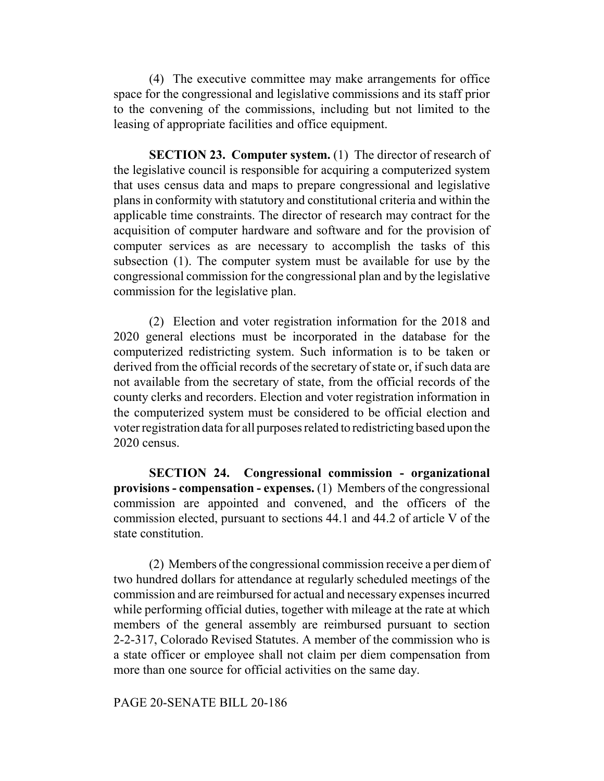(4) The executive committee may make arrangements for office space for the congressional and legislative commissions and its staff prior to the convening of the commissions, including but not limited to the leasing of appropriate facilities and office equipment.

**SECTION 23. Computer system.** (1) The director of research of the legislative council is responsible for acquiring a computerized system that uses census data and maps to prepare congressional and legislative plans in conformity with statutory and constitutional criteria and within the applicable time constraints. The director of research may contract for the acquisition of computer hardware and software and for the provision of computer services as are necessary to accomplish the tasks of this subsection (1). The computer system must be available for use by the congressional commission for the congressional plan and by the legislative commission for the legislative plan.

(2) Election and voter registration information for the 2018 and 2020 general elections must be incorporated in the database for the computerized redistricting system. Such information is to be taken or derived from the official records of the secretary of state or, if such data are not available from the secretary of state, from the official records of the county clerks and recorders. Election and voter registration information in the computerized system must be considered to be official election and voter registration data for all purposes related to redistricting based upon the 2020 census.

**SECTION 24. Congressional commission - organizational provisions - compensation - expenses.** (1) Members of the congressional commission are appointed and convened, and the officers of the commission elected, pursuant to sections 44.1 and 44.2 of article V of the state constitution.

(2) Members of the congressional commission receive a per diem of two hundred dollars for attendance at regularly scheduled meetings of the commission and are reimbursed for actual and necessary expenses incurred while performing official duties, together with mileage at the rate at which members of the general assembly are reimbursed pursuant to section 2-2-317, Colorado Revised Statutes. A member of the commission who is a state officer or employee shall not claim per diem compensation from more than one source for official activities on the same day.

PAGE 20-SENATE BILL 20-186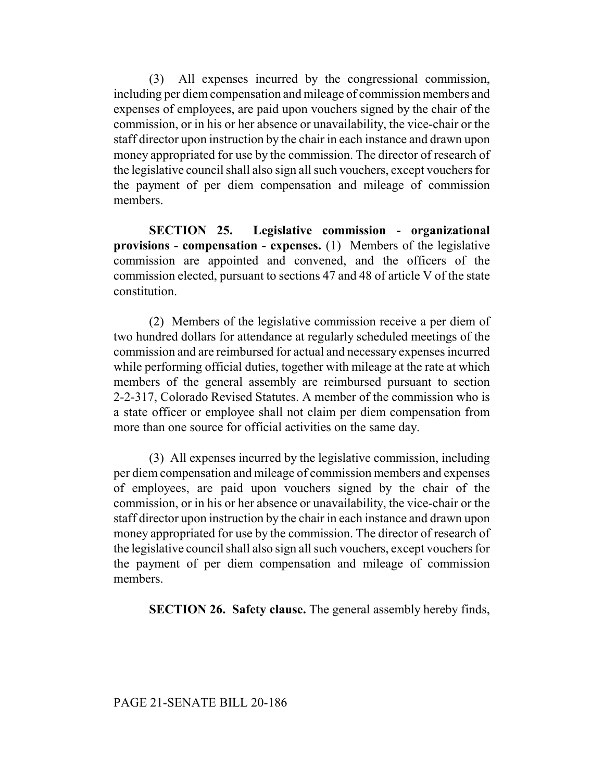(3) All expenses incurred by the congressional commission, including per diem compensation and mileage of commission members and expenses of employees, are paid upon vouchers signed by the chair of the commission, or in his or her absence or unavailability, the vice-chair or the staff director upon instruction by the chair in each instance and drawn upon money appropriated for use by the commission. The director of research of the legislative council shall also sign all such vouchers, except vouchers for the payment of per diem compensation and mileage of commission members.

**SECTION 25. Legislative commission - organizational provisions - compensation - expenses.** (1) Members of the legislative commission are appointed and convened, and the officers of the commission elected, pursuant to sections 47 and 48 of article V of the state constitution.

(2) Members of the legislative commission receive a per diem of two hundred dollars for attendance at regularly scheduled meetings of the commission and are reimbursed for actual and necessary expenses incurred while performing official duties, together with mileage at the rate at which members of the general assembly are reimbursed pursuant to section 2-2-317, Colorado Revised Statutes. A member of the commission who is a state officer or employee shall not claim per diem compensation from more than one source for official activities on the same day.

(3) All expenses incurred by the legislative commission, including per diem compensation and mileage of commission members and expenses of employees, are paid upon vouchers signed by the chair of the commission, or in his or her absence or unavailability, the vice-chair or the staff director upon instruction by the chair in each instance and drawn upon money appropriated for use by the commission. The director of research of the legislative council shall also sign all such vouchers, except vouchers for the payment of per diem compensation and mileage of commission members.

**SECTION 26. Safety clause.** The general assembly hereby finds,